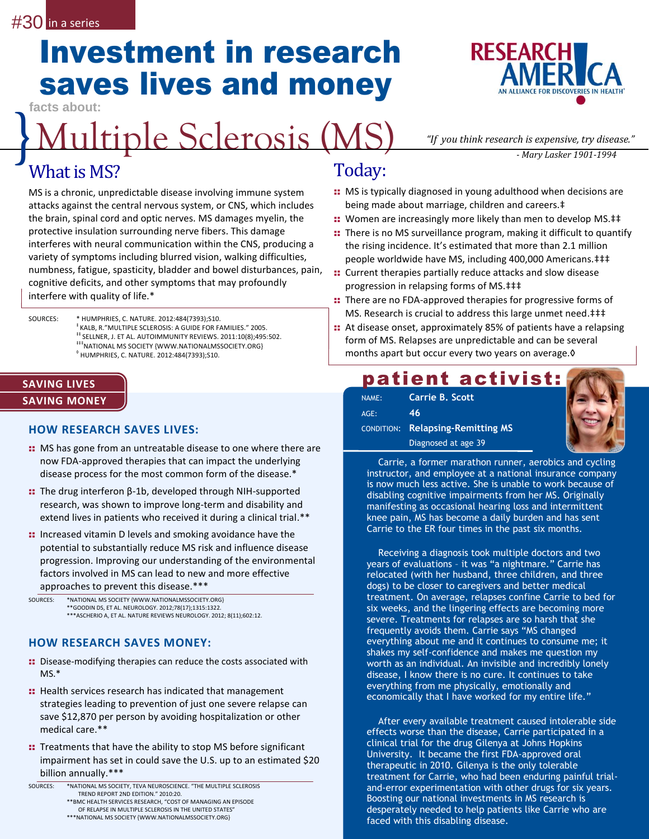# Investment in research saves lives and money

**facts about:**

## Multiple Sclerosis (MS) *Multiple Sclerosis (MS) "If you think research is expensive, try disease."*<br>Mary Lasker 1901-1994

## What is MS?

MS is a chronic, unpredictable disease involving immune system attacks against the central nervous system, or CNS, which includes the brain, spinal cord and optic nerves. MS damages myelin, the protective insulation surrounding nerve fibers. This damage interferes with neural communication within the CNS, producing a variety of symptoms including blurred vision, walking difficulties, numbness, fatigue, spasticity, bladder and bowel disturbances, pain, cognitive deficits, and other symptoms that may profoundly interfere with quality of life.\*

SOURCES: \* HUMPHRIES, C. NATURE. 2012:484(7393);S10. ‡ KALB, R."MULTIPLE SCLEROSIS: A GUIDE FOR FAMILIES." 2005. ‡‡ SELLNER, J. ET AL. AUTOIMMUNITY REVIEWS. 2011:10(8);495:502. ‡‡‡NATIONAL MS SOCIETY {WWW.NATIONALMSSOCIETY.ORG} ◊ HUMPHRIES, C. NATURE. 2012:484(7393);S10.

#### **SAVING LIVES SAVING MONEY**

#### **HOW RESEARCH SAVES LIVES:**

- :: MS has gone from an untreatable disease to one where there are now FDA-approved therapies that can impact the underlying disease process for the most common form of the disease.\*
- :: The drug interferon β-1b, developed through NIH-supported research, was shown to improve long-term and disability and extend lives in patients who received it during a clinical trial.\*\*
- :: Increased vitamin D levels and smoking avoidance have the potential to substantially reduce MS risk and influence disease progression. Improving our understanding of the environmental factors involved in MS can lead to new and more effective approaches to prevent this disease.\*\*\*

SOURCES: \*NATIONAL MS SOCIETY {WWW.NATIONALMSSOCIETY.ORG} \*\*GOODIN DS, ET AL. NEUROLOGY. 2012;78(17);1315:1322. \*\*\*ASCHERIO A, ET AL. NATURE REVIEWS NEUROLOGY. 2012; 8(11);602:12.

### **HOW RESEARCH SAVES MONEY:**

- **::** Disease-modifying therapies can reduce the costs associated with MS.\*
- :: Health services research has indicated that management strategies leading to prevention of just one severe relapse can save \$12,870 per person by avoiding hospitalization or other medical care.\*\*
- :: Treatments that have the ability to stop MS before significant impairment has set in could save the U.S. up to an estimated \$20 billion annually.\*\*\*



Today:

- :: MS is typically diagnosed in young adulthood when decisions are being made about marriage, children and careers.‡
- : Women are increasingly more likely than men to develop MS.##
- :: There is no MS surveillance program, making it difficult to quantify the rising incidence. It's estimated that more than 2.1 million people worldwide have MS, including 400,000 Americans.‡‡‡
- :: Current therapies partially reduce attacks and slow disease progression in relapsing forms of MS.‡‡‡
- :: There are no FDA-approved therapies for progressive forms of MS. Research is crucial to address this large unmet need.‡‡‡
- : At disease onset, approximately 85% of patients have a relapsing form of MS. Relapses are unpredictable and can be several months apart but occur every two years on average.◊

### patient activist:

| NAME:   | Carrie B. Scott                          |
|---------|------------------------------------------|
| $AGE$ : | 46                                       |
|         | <b>CONDITION: Relapsing-Remitting MS</b> |
|         | Diagnosed at age 39                      |



Carrie, a former marathon runner, aerobics and cycling instructor, and employee at a national insurance company is now much less active. She is unable to work because of disabling cognitive impairments from her MS. Originally manifesting as occasional hearing loss and intermittent knee pain, MS has become a daily burden and has sent Carrie to the ER four times in the past six months.

Receiving a diagnosis took multiple doctors and two years of evaluations – it was "a nightmare." Carrie has relocated (with her husband, three children, and three dogs) to be closer to caregivers and better medical treatment. On average, relapses confine Carrie to bed for six weeks, and the lingering effects are becoming more severe. Treatments for relapses are so harsh that she frequently avoids them. Carrie says "MS changed everything about me and it continues to consume me; it shakes my self-confidence and makes me question my worth as an individual. An invisible and incredibly lonely disease, I know there is no cure. It continues to take everything from me physically, emotionally and economically that I have worked for my entire life."

After every available treatment caused intolerable side effects worse than the disease, Carrie participated in a clinical trial for the drug Gilenya at Johns Hopkins University. It became the first FDA-approved oral therapeutic in 2010. Gilenya is the only tolerable treatment for Carrie, who had been enduring painful trialand-error experimentation with other drugs for six years. Boosting our national investments in MS research is desperately needed to help patients like Carrie who are faced with this disabling disease.

SOURCES: \*NATIONAL MS SOCIETY, TEVA NEUROSCIENCE. "THE MULTIPLE SCLEROSIS TREND REPORT 2ND EDITION." 2010:20. \*\*BMC HEALTH SERVICES RESEARCH, "COST OF MANAGING AN EPISODE OF RELAPSE IN MULTIPLE SCLEROSIS IN THE UNITED STATES"

<sup>\*\*\*</sup>NATIONAL MS SOCIETY {WWW.NATIONALMSSOCIETY.ORG}